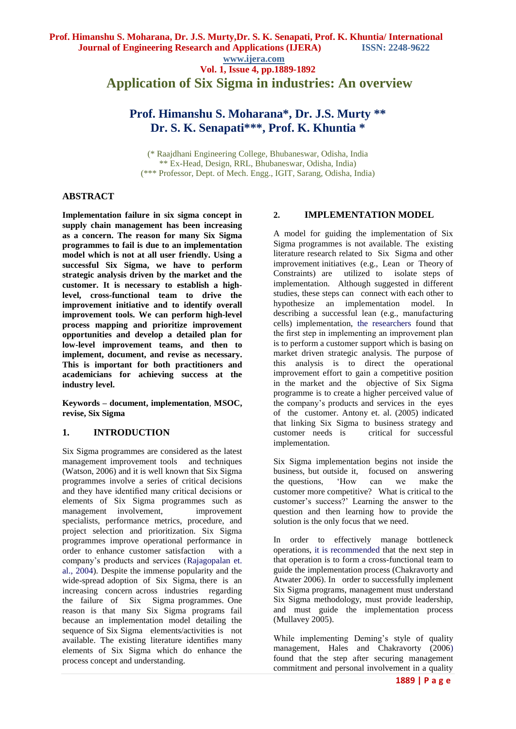**www.ijera.com**

**Vol. 1, Issue 4, pp.1889-1892 Application of Six Sigma in industries: An overview**

# **Prof. Himanshu S. Moharana\*, Dr. J.S. Murty \*\* Dr. S. K. Senapati\*\*\*, Prof. K. Khuntia \***

(\* Raajdhani Engineering College, Bhubaneswar, Odisha, India \*\* Ex-Head, Design, RRL, Bhubaneswar, Odisha, India) (\*\*\* Professor, Dept. of Mech. Engg., IGIT, Sarang, Odisha, India)

# **ABSTRACT**

**Implementation failure in six sigma concept in supply chain management has been increasing as a concern. The reason for many Six Sigma programmes to fail is due to an implementation model which is not at all user friendly. Using a successful Six Sigma, we have to perform strategic analysis driven by the market and the customer. It is necessary to establish a highlevel, cross-functional team to drive the improvement initiative and to identify overall improvement tools. We can perform high-level process mapping and prioritize improvement opportunities and develop a detailed plan for low-level improvement teams, and then to implement, document, and revise as necessary. This is important for both practitioners and academicians for achieving success at the industry level.**

**Keywords – document, implementation**, **MSOC, revise, Six Sigma**

# **1. INTRODUCTION**

Six Sigma programmes are considered as the latest management improvement tools and techniques (Watson, 2006) and it is well known that Six Sigma programmes involve a series of critical decisions and they have identified many critical decisions or elements of Six Sigma programmes such as management involvement, improvement specialists, performance metrics, procedure, and project selection and prioritization. Six Sigma programmes improve operational performance in order to enhance customer satisfaction with a company's products and services (Rajagopalan et. al., 2004). Despite the immense popularity and the wide-spread adoption of Six Sigma, there is an increasing concern across industries regarding the failure of Six Sigma programmes. One reason is that many Six Sigma programs fail because an implementation model detailing the sequence of Six Sigma elements/activities is not available. The existing literature identifies many elements of Six Sigma which do enhance the process concept and understanding.

### **2. IMPLEMENTATION MODEL**

A model for guiding the implementation of Six Sigma programmes is not available. The existing literature research related to Six Sigma and other improvement initiatives (e.g., Lean or Theory of Constraints) are utilized to isolate steps of implementation. Although suggested in different studies, these steps can connect with each other to hypothesize an implementation model. In describing a successful lean (e.g., manufacturing cells) implementation, the researchers found that the first step in implementing an improvement plan is to perform a customer support which is basing on market driven strategic analysis. The purpose of this analysis is to direct the operational improvement effort to gain a competitive position in the market and the objective of Six Sigma programme is to create a higher perceived value of the company's products and services in the eyes of the customer. Antony et. al. (2005) indicated that linking Six Sigma to business strategy and customer needs is critical for successful implementation.

Six Sigma implementation begins not inside the business, but outside it, focused on answering the questions, 'How can we make the customer more competitive? What is critical to the customer's success?' Learning the answer to the question and then learning how to provide the solution is the only focus that we need.

In order to effectively manage bottleneck operations, it is recommended that the next step in that operation is to form a cross-functional team to guide the implementation process (Chakravorty and Atwater 2006). In order to successfully implement Six Sigma programs, management must understand Six Sigma methodology, must provide leadership, and must guide the implementation process (Mullavey 2005).

While implementing Deming's style of quality management, Hales and Chakravorty (2006) found that the step after securing management commitment and personal involvement in a quality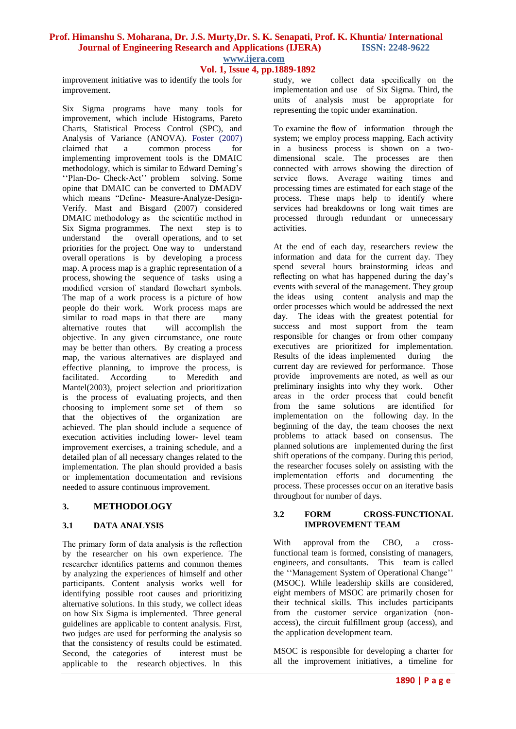### **Prof. Himanshu S. Moharana, Dr. J.S. Murty,Dr. S. K. Senapati, Prof. K. Khuntia/ International Journal of Engineering Research and Applications (IJERA) ISSN: 2248-9622 www.ijera.com**

# **Vol. 1, Issue 4, pp.1889-1892**

improvement initiative was to identify the tools for improvement.

Six Sigma programs have many tools for improvement, which include Histograms, Pareto Charts, Statistical Process Control (SPC), and Analysis of Variance (ANOVA). Foster (2007) claimed that a common process for implementing improvement tools is the DMAIC methodology, which is similar to Edward Deming's ''Plan-Do- Check-Act'' problem solving. Some opine that DMAIC can be converted to DMADV which means "Define- Measure-Analyze-Design-Verify. Mast and Bisgard (2007) considered DMAIC methodology as the scientific method in Six Sigma programmes. The next step is to understand the overall operations, and to set priorities for the project. One way to understand overall operations is by developing a process map. A process map is a graphic representation of a process, showing the sequence of tasks using a modified version of standard flowchart symbols. The map of a work process is a picture of how people do their work. Work process maps are similar to road maps in that there are many<br>alternative routes that will accomplish the alternative routes that objective. In any given circumstance, one route may be better than others. By creating a process map, the various alternatives are displayed and effective planning, to improve the process, is facilitated. According to Meredith and Mantel(2003), project selection and prioritization is the process of evaluating projects, and then choosing to implement some set of them so that the objectives of the organization are achieved. The plan should include a sequence of execution activities including lower- level team improvement exercises, a training schedule, and a detailed plan of all necessary changes related to the implementation. The plan should provided a basis or implementation documentation and revisions needed to assure continuous improvement.

### **3. METHODOLOGY**

### **3.1 DATA ANALYSIS**

The primary form of data analysis is the reflection by the researcher on his own experience. The researcher identifies patterns and common themes by analyzing the experiences of himself and other participants. Content analysis works well for identifying possible root causes and prioritizing alternative solutions. In this study, we collect ideas on how Six Sigma is implemented. Three general guidelines are applicable to content analysis. First, two judges are used for performing the analysis so that the consistency of results could be estimated. Second, the categories of interest must be applicable to the research objectives. In this

study, we collect data specifically on the implementation and use of Six Sigma. Third, the units of analysis must be appropriate for representing the topic under examination.

To examine the flow of information through the system; we employ process mapping. Each activity in a business process is shown on a twodimensional scale. The processes are then connected with arrows showing the direction of service flows. Average waiting times and processing times are estimated for each stage of the process. These maps help to identify where services had breakdowns or long wait times are processed through redundant or unnecessary activities.

At the end of each day, researchers review the information and data for the current day. They spend several hours brainstorming ideas and reflecting on what has happened during the day's events with several of the management. They group the ideas using content analysis and map the order processes which would be addressed the next day. The ideas with the greatest potential for success and most support from the team responsible for changes or from other company executives are prioritized for implementation. Results of the ideas implemented during the current day are reviewed for performance. Those provide improvements are noted, as well as our preliminary insights into why they work. Other areas in the order process that could benefit from the same solutions are identified for implementation on the following day. In the beginning of the day, the team chooses the next problems to attack based on consensus. The planned solutions are implemented during the first shift operations of the company. During this period, the researcher focuses solely on assisting with the implementation efforts and documenting the process. These processes occur on an iterative basis throughout for number of days.

#### **3.2 FORM CROSS-FUNCTIONAL IMPROVEMENT TEAM**

With approval from the CBO, a crossfunctional team is formed, consisting of managers, engineers, and consultants. This team is called the ''Management System of Operational Change'' (MSOC). While leadership skills are considered, eight members of MSOC are primarily chosen for their technical skills. This includes participants from the customer service organization (nonaccess), the circuit fulfillment group (access), and the application development team.

MSOC is responsible for developing a charter for all the improvement initiatives, a timeline for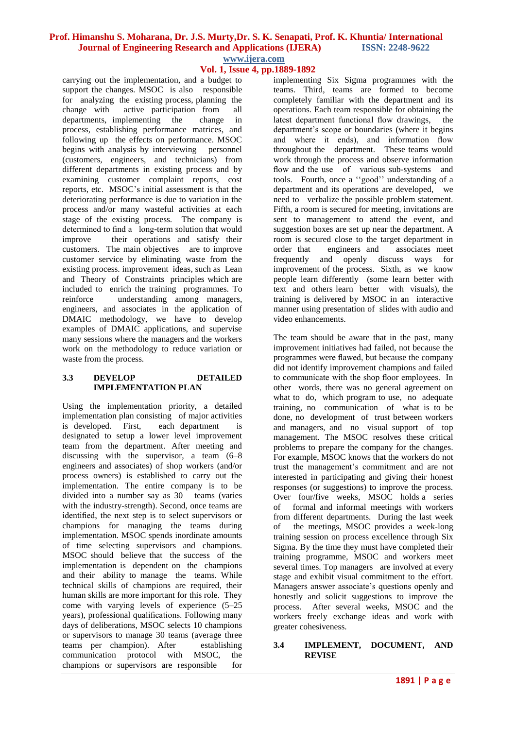### **Prof. Himanshu S. Moharana, Dr. J.S. Murty,Dr. S. K. Senapati, Prof. K. Khuntia/ International Journal of Engineering Research and Applications (IJERA) ISSN: 2248-9622 www.ijera.com**

# **Vol. 1, Issue 4, pp.1889-1892**

carrying out the implementation, and a budget to support the changes. MSOC is also responsible for analyzing the existing process, planning the change with active participation from all active participation from all departments, implementing the change in process, establishing performance matrices, and following up the effects on performance. MSOC begins with analysis by interviewing personnel (customers, engineers, and technicians) from different departments in existing process and by examining customer complaint reports, cost reports, etc. MSOC's initial assessment is that the deteriorating performance is due to variation in the process and/or many wasteful activities at each stage of the existing process. The company is determined to find a long-term solution that would improve their operations and satisfy their customers. The main objectives are to improve customer service by eliminating waste from the existing process. improvement ideas, such as Lean and Theory of Constraints principles which are included to enrich the training programmes. To reinforce understanding among managers, engineers, and associates in the application of DMAIC methodology, we have to develop examples of DMAIC applications, and supervise many sessions where the managers and the workers work on the methodology to reduce variation or waste from the process.

### **3.3 DEVELOP DETAILED IMPLEMENTATION PLAN**

Using the implementation priority, a detailed implementation plan consisting of major activities<br>is developed. First, each department is is developed. First, each department is designated to setup a lower level improvement team from the department. After meeting and discussing with the supervisor, a team (6–8 engineers and associates) of shop workers (and/or process owners) is established to carry out the implementation. The entire company is to be divided into a number say as 30 teams (varies with the industry-strength). Second, once teams are identified, the next step is to select supervisors or champions for managing the teams during implementation. MSOC spends inordinate amounts of time selecting supervisors and champions. MSOC should believe that the success of the implementation is dependent on the champions and their ability to manage the teams. While technical skills of champions are required, their human skills are more important for this role. They come with varying levels of experience (5–25 years), professional qualifications. Following many days of deliberations, MSOC selects 10 champions or supervisors to manage 30 teams (average three teams per champion). After establishing communication protocol with MSOC, the champions or supervisors are responsible for implementing Six Sigma programmes with the teams. Third, teams are formed to become completely familiar with the department and its operations. Each team responsible for obtaining the latest department functional flow drawings, the department's scope or boundaries (where it begins and where it ends), and information flow throughout the department. These teams would work through the process and observe information flow and the use of various sub-systems and tools. Fourth, once a ''good'' understanding of a department and its operations are developed, we need to verbalize the possible problem statement. Fifth, a room is secured for meeting, invitations are sent to management to attend the event, and suggestion boxes are set up near the department. A room is secured close to the target department in order that engineers and associates meet frequently and openly discuss ways for improvement of the process. Sixth, as we know people learn differently (some learn better with text and others learn better with visuals), the training is delivered by MSOC in an interactive manner using presentation of slides with audio and video enhancements.

The team should be aware that in the past, many improvement initiatives had failed, not because the programmes were flawed, but because the company did not identify improvement champions and failed to communicate with the shop floor employees. In other words, there was no general agreement on what to do, which program to use, no adequate training, no communication of what is to be done, no development of trust between workers and managers, and no visual support of top management. The MSOC resolves these critical problems to prepare the company for the changes. For example, MSOC knows that the workers do not trust the management's commitment and are not interested in participating and giving their honest responses (or suggestions) to improve the process. Over four/five weeks, MSOC holds a series of formal and informal meetings with workers from different departments. During the last week of the meetings, MSOC provides a week-long training session on process excellence through Six Sigma. By the time they must have completed their training programme, MSOC and workers meet several times. Top managers are involved at every stage and exhibit visual commitment to the effort. Managers answer associate's questions openly and honestly and solicit suggestions to improve the process. After several weeks, MSOC and the workers freely exchange ideas and work with greater cohesiveness.

### **3.4 IMPLEMENT, DOCUMENT, AND REVISE**